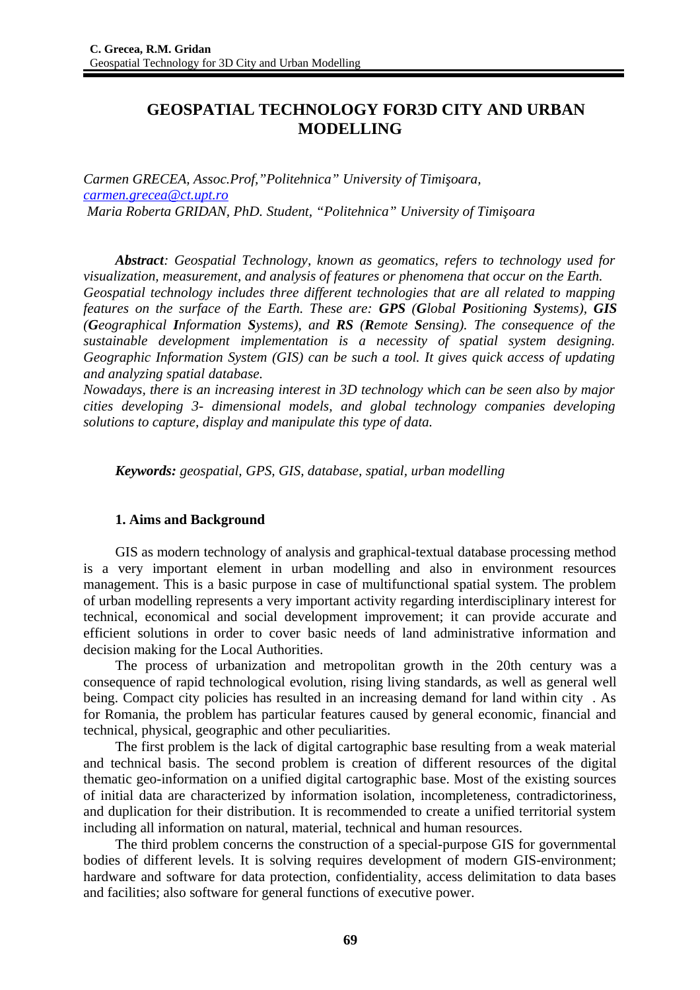# **GEOSPATIAL TECHNOLOGY FOR3D CITY AND URBAN MODELLING**

*Carmen GRECEA, Assoc.Prof,"Politehnica" University of Timişoara, [carmen.grecea@ct.upt.ro](mailto:carmen.grecea@ct.upt.ro) Maria Roberta GRIDAN, PhD. Student, "Politehnica" University of Timişoara*

*Abstract: Geospatial Technology, known as geomatics, refers to technology used for visualization, measurement, and analysis of features or phenomena that occur on the Earth. Geospatial technology includes three different technologies that are all related to mapping features on the surface of the Earth. These are: GPS (Global Positioning Systems), GIS (Geographical Information Systems), and RS (Remote Sensing). The consequence of the sustainable development implementation is a necessity of spatial system designing. Geographic Information System (GIS) can be such a tool. It gives quick access of updating and analyzing spatial database.*

*Nowadays, there is an increasing interest in 3D technology which can be seen also by major cities developing 3- dimensional models, and global technology companies developing solutions to capture, display and manipulate this type of data.*

*Keywords: geospatial, GPS, GIS, database, spatial, urban modelling*

# **1. Aims and Background**

GIS as modern technology of analysis and graphical-textual database processing method is a very important element in urban modelling and also in environment resources management. This is a basic purpose in case of multifunctional spatial system. The problem of urban modelling represents a very important activity regarding interdisciplinary interest for technical, economical and social development improvement; it can provide accurate and efficient solutions in order to cover basic needs of land administrative information and decision making for the Local Authorities.

The process of urbanization and metropolitan growth in the 20th century was a consequence of rapid technological evolution, rising living standards, as well as general well being. Compact city policies has resulted in an increasing demand for land within city . As for Romania, the problem has particular features caused by general economic, financial and technical, physical, geographic and other peculiarities.

The first problem is the lack of digital cartographic base resulting from a weak material and technical basis. The second problem is creation of different resources of the digital thematic geo-information on a unified digital cartographic base. Most of the existing sources of initial data are characterized by information isolation, incompleteness, contradictoriness, and duplication for their distribution. It is recommended to create a unified territorial system including all information on natural, material, technical and human resources.

The third problem concerns the construction of a special-purpose GIS for governmental bodies of different levels. It is solving requires development of modern GIS-environment; hardware and software for data protection, confidentiality, access delimitation to data bases and facilities; also software for general functions of executive power.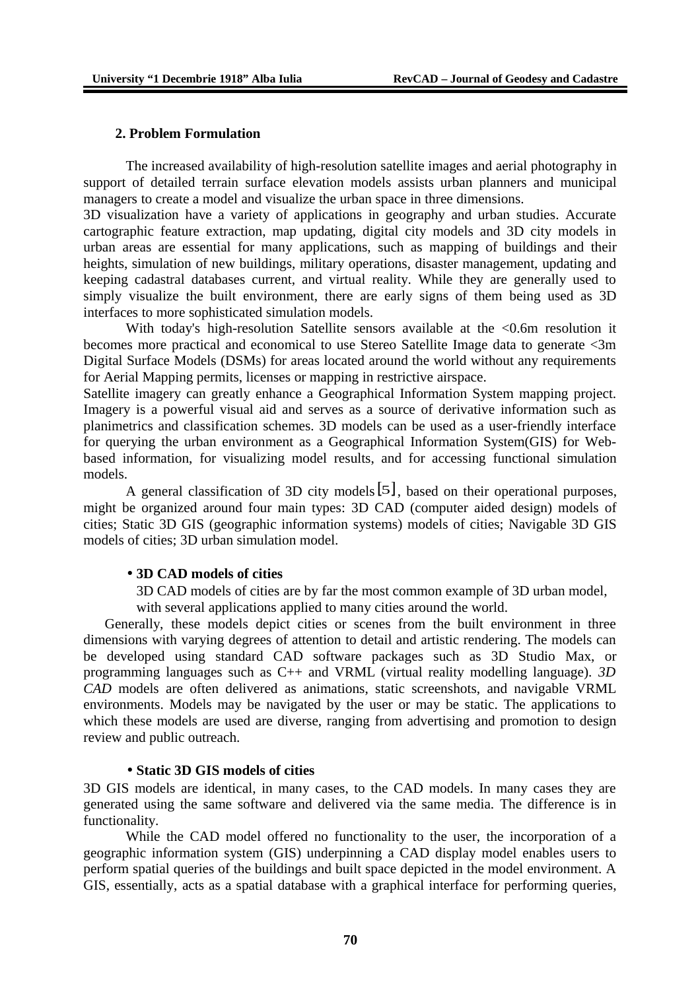#### **2. Problem Formulation**

The increased availability of high-resolution satellite images and aerial photography in support of detailed terrain surface elevation models assists urban planners and municipal managers to create a model and visualize the urban space in three dimensions.

3D visualization have a variety of applications in geography and urban studies. Accurate cartographic feature extraction, map updating, digital city models and 3D city models in urban areas are essential for many applications, such as mapping of buildings and their heights, simulation of new buildings, military operations, disaster management, updating and keeping cadastral databases current, and virtual reality. While they are generally used to simply visualize the built environment, there are early signs of them being used as 3D interfaces to more sophisticated simulation models.

With today's high-resolution Satellite sensors available at the <0.6m resolution it becomes more practical and economical to use Stereo Satellite Image data to generate <3m Digital Surface Models (DSMs) for areas located around the world without any requirements for Aerial Mapping permits, licenses or mapping in restrictive airspace.

Satellite imagery can greatly enhance a Geographical Information System mapping project. Imagery is a powerful visual aid and serves as a source of derivative information such as planimetrics and classification schemes. 3D models can be used as a user-friendly interface for querying the urban environment as a Geographical Information System(GIS) for Webbased information, for visualizing model results, and for accessing functional simulation models.

A general classification of 3D city models[5], based on their operational purposes, might be organized around four main types: 3D CAD (computer aided design) models of cities; Static 3D GIS (geographic information systems) models of cities; Navigable 3D GIS models of cities; 3D urban simulation model.

### • **3D CAD models of cities**

3D CAD models of cities are by far the most common example of 3D urban model, with several applications applied to many cities around the world.

Generally, these models depict cities or scenes from the built environment in three dimensions with varying degrees of attention to detail and artistic rendering. The models can be developed using standard CAD software packages such as 3D Studio Max, or programming languages such as C++ and VRML (virtual reality modelling language). *3D CAD* models are often delivered as animations, static screenshots, and navigable VRML environments. Models may be navigated by the user or may be static. The applications to which these models are used are diverse, ranging from advertising and promotion to design review and public outreach.

## • **Static 3D GIS models of cities**

3D GIS models are identical, in many cases, to the CAD models. In many cases they are generated using the same software and delivered via the same media. The difference is in functionality.

While the CAD model offered no functionality to the user, the incorporation of a geographic information system (GIS) underpinning a CAD display model enables users to perform spatial queries of the buildings and built space depicted in the model environment. A GIS, essentially, acts as a spatial database with a graphical interface for performing queries,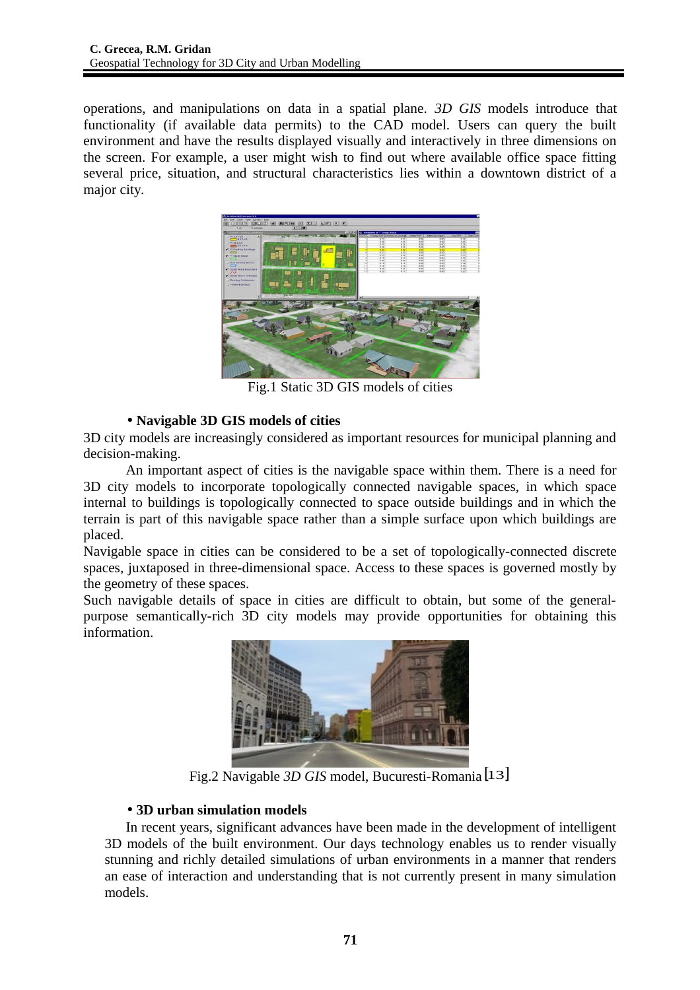operations, and manipulations on data in a spatial plane. *3D GIS* models introduce that functionality (if available data permits) to the CAD model. Users can query the built environment and have the results displayed visually and interactively in three dimensions on the screen. For example, a user might wish to find out where available office space fitting several price, situation, and structural characteristics lies within a downtown district of a major city.



Fig.1 Static 3D GIS models of cities

# • **Navigable 3D GIS models of cities**

3D city models are increasingly considered as important resources for municipal planning and decision-making.

An important aspect of cities is the navigable space within them. There is a need for 3D city models to incorporate topologically connected navigable spaces, in which space internal to buildings is topologically connected to space outside buildings and in which the terrain is part of this navigable space rather than a simple surface upon which buildings are placed.

Navigable space in cities can be considered to be a set of topologically-connected discrete spaces, juxtaposed in three-dimensional space. Access to these spaces is governed mostly by the geometry of these spaces.

Such navigable details of space in cities are difficult to obtain, but some of the generalpurpose semantically-rich 3D city models may provide opportunities for obtaining this information.



Fig.2 Navigable *3D GIS* model, Bucuresti-Romania [13]

# • **3D urban simulation models**

In recent years, significant advances have been made in the development of intelligent 3D models of the built environment. Our days technology enables us to render visually stunning and richly detailed simulations of urban environments in a manner that renders an ease of interaction and understanding that is not currently present in many simulation models.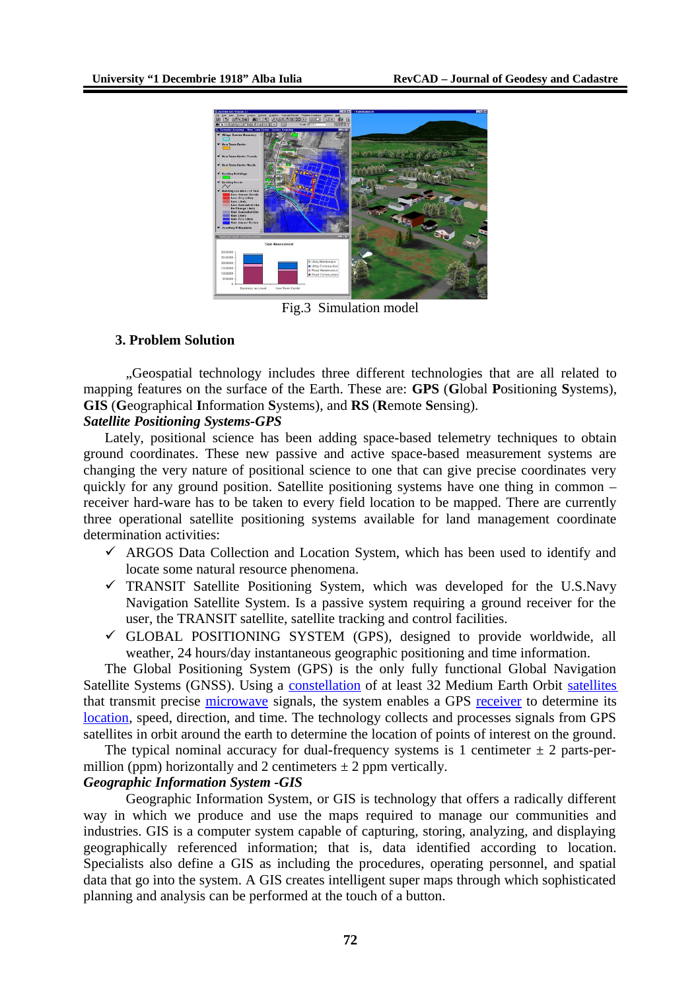

Fig.3 Simulation model

## **3. Problem Solution**

"Geospatial technology includes three different technologies that are all related to mapping features on the surface of the Earth. These are: **GPS** (**G**lobal **P**ositioning **S**ystems), **GIS** (**G**eographical **I**nformation **S**ystems), and **RS** (**R**emote **S**ensing).

## *Satellite Positioning Systems-GPS*

Lately, positional science has been adding space-based telemetry techniques to obtain ground coordinates. These new passive and active space-based measurement systems are changing the very nature of positional science to one that can give precise coordinates very quickly for any ground position. Satellite positioning systems have one thing in common – receiver hard-ware has to be taken to every field location to be mapped. There are currently three operational satellite positioning systems available for land management coordinate determination activities:

- $\checkmark$  ARGOS Data Collection and Location System, which has been used to identify and locate some natural resource phenomena.
- $\checkmark$  TRANSIT Satellite Positioning System, which was developed for the U.S.Navy Navigation Satellite System. Is a passive system requiring a ground receiver for the user, the TRANSIT satellite, satellite tracking and control facilities.
- $\checkmark$  GLOBAL POSITIONING SYSTEM (GPS), designed to provide worldwide, all weather, 24 hours/day instantaneous geographic positioning and time information.

The Global Positioning System (GPS) is the only fully functional Global Navigation Satellite Systems (GNSS). Using a [constellation](http://en.wikipedia.org/wiki/Satellite_constellation) of at least 32 Medium Earth Orbit [satellites](http://en.wikipedia.org/wiki/Satellite) that transmit precise [microwave](http://en.wikipedia.org/wiki/Microwave) signals, the system enables a GPS [receiver](http://en.wikipedia.org/wiki/Receiver_(radio)) to determine its [location,](http://en.wikipedia.org/wiki/Geographic_location) speed, direction, and time. The technology collects and processes signals from GPS satellites in orbit around the earth to determine the location of points of interest on the ground.

The typical nominal accuracy for dual-frequency systems is 1 centimeter  $\pm$  2 parts-permillion (ppm) horizontally and 2 centimeters  $\pm$  2 ppm vertically.

## *Geographic Information System -GIS*

Geographic Information System, or GIS is technology that offers a radically different way in which we produce and use the maps required to manage our communities and industries. GIS is a computer system capable of capturing, storing, analyzing, and displaying geographically referenced information; that is, data identified according to location. Specialists also define a GIS as including the procedures, operating personnel, and spatial data that go into the system. A GIS creates intelligent super maps through which sophisticated planning and analysis can be performed at the touch of a button.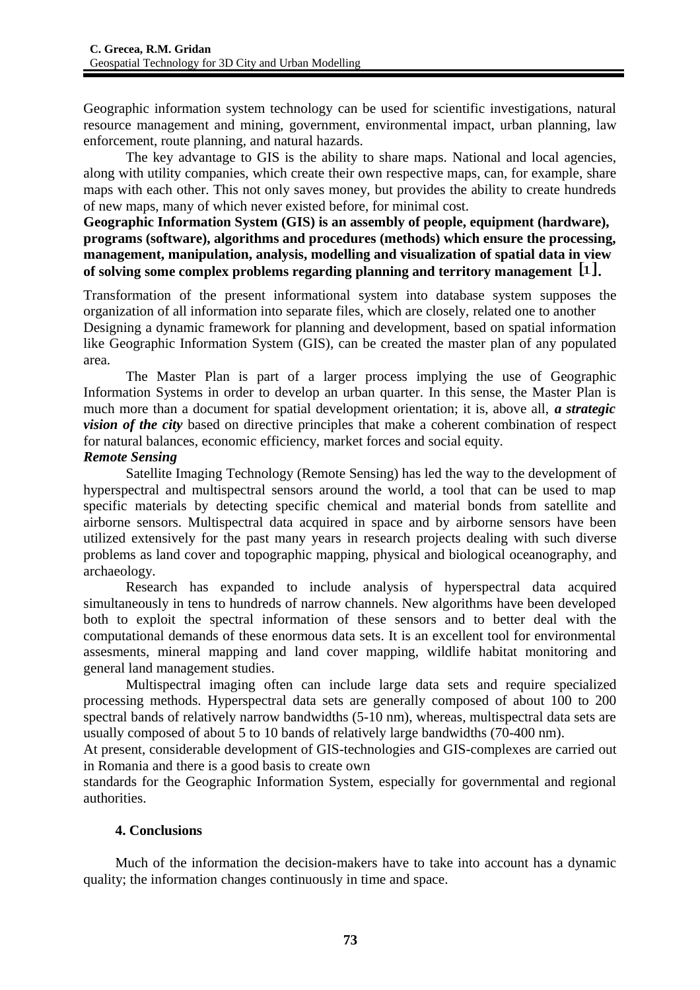Geographic information system technology can be used for scientific investigations, natural resource management and mining, government, environmental impact, urban planning, law enforcement, route planning, and natural hazards.

The key advantage to GIS is the ability to share maps. National and local agencies, along with utility companies, which create their own respective maps, can, for example, share maps with each other. This not only saves money, but provides the ability to create hundreds of new maps, many of which never existed before, for minimal cost.

## **Geographic Information System (GIS) is an assembly of people, equipment (hardware), programs (software), algorithms and procedures (methods) which ensure the processing, management, manipulation, analysis, modelling and visualization of spatial data in view of solving some complex problems regarding planning and territory management** [1]**.**

Transformation of the present informational system into database system supposes the organization of all information into separate files, which are closely, related one to another Designing a dynamic framework for planning and development, based on spatial information like Geographic Information System (GIS), can be created the master plan of any populated area.

The Master Plan is part of a larger process implying the use of Geographic Information Systems in order to develop an urban quarter. In this sense, the Master Plan is much more than a document for spatial development orientation; it is, above all, *a strategic vision of the city* based on directive principles that make a coherent combination of respect for natural balances, economic efficiency, market forces and social equity.

## *Remote Sensing*

Satellite Imaging Technology (Remote Sensing) has led the way to the development of hyperspectral and multispectral sensors around the world, a tool that can be used to map specific materials by detecting specific chemical and material bonds from satellite and airborne sensors. Multispectral data acquired in space and by airborne sensors have been utilized extensively for the past many years in research projects dealing with such diverse problems as land cover and topographic mapping, physical and biological oceanography, and archaeology.

Research has expanded to include analysis of hyperspectral data acquired simultaneously in tens to hundreds of narrow channels. New algorithms have been developed both to exploit the spectral information of these sensors and to better deal with the computational demands of these enormous data sets. It is an excellent tool for environmental assesments, mineral mapping and land cover mapping, wildlife habitat monitoring and general land management studies.

Multispectral imaging often can include large data sets and require specialized processing methods. Hyperspectral data sets are generally composed of about 100 to 200 spectral bands of relatively narrow bandwidths (5-10 nm), whereas, multispectral data sets are usually composed of about 5 to 10 bands of relatively large bandwidths (70-400 nm).

At present, considerable development of GIS-technologies and GIS-complexes are carried out in Romania and there is a good basis to create own

standards for the Geographic Information System, especially for governmental and regional authorities.

# **4. Conclusions**

Much of the information the decision-makers have to take into account has a dynamic quality; the information changes continuously in time and space.